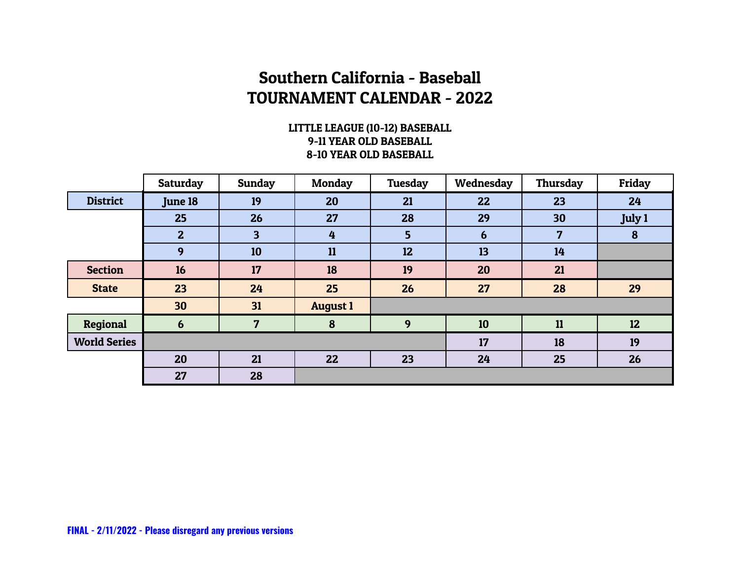### LITTLE LEAGUE (10-12) BASEBALL 9-11 YEAR OLD BASEBALL 8-10 YEAR OLD BASEBALL

|                     | Saturday       | <b>Sunday</b> | <b>Monday</b>   | Tuesday | Wednesday | <b>Thursday</b> | Friday          |
|---------------------|----------------|---------------|-----------------|---------|-----------|-----------------|-----------------|
| <b>District</b>     | <b>June 18</b> | 19            | 20              | 21      | 22        | 23              | 24              |
|                     | 25             | 26            | 27              | 28      | 29        | 30              | <b>July 1</b>   |
|                     | $\mathbf{2}$   | 3             | 4               | 5       | 6         | 7               | 8               |
|                     | 9              | 10            | 11              | 12      | 13        | 14              |                 |
| <b>Section</b>      | 16             | 17            | 18              | 19      | 20        | 21              |                 |
| <b>State</b>        | 23             | 24            | 25              | 26      | 27        | 28              | 29              |
|                     | 30             | 31            | <b>August 1</b> |         |           |                 |                 |
| Regional            | 6              | 7             | 8               | 9       | 10        | 11              | 12 <sub>2</sub> |
| <b>World Series</b> |                |               |                 |         | 17        | 18              | 19              |
|                     | 20             | 21            | 22              | 23      | 24        | 25              | 26              |
|                     | 27             | 28            |                 |         |           |                 |                 |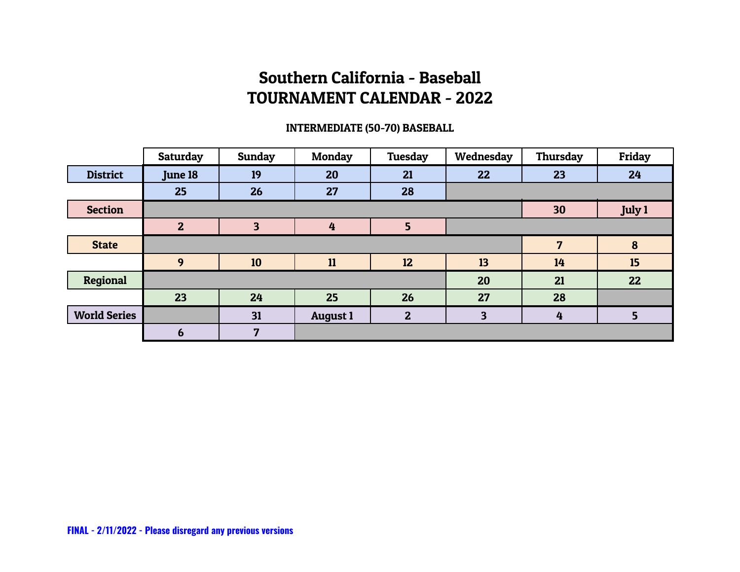### INTERMEDIATE (50-70) BASEBALL

|                     | <b>Saturday</b> | Sunday | <b>Monday</b>   | Tuesday      | Wednesday | Thursday | Friday          |
|---------------------|-----------------|--------|-----------------|--------------|-----------|----------|-----------------|
| <b>District</b>     | <b>June 18</b>  | 19     | 20              | 21           | 22        | 23       | 24              |
|                     | 25              | 26     | 27              | 28           |           |          |                 |
| <b>Section</b>      |                 |        |                 |              |           | 30       | July 1          |
|                     | $\mathbf{2}$    | 3      | 4               | 5            |           |          |                 |
| <b>State</b>        |                 |        |                 |              |           | 7        | 8               |
|                     | 9               | 10     | 11              | 12           | 13        | 14       | 15              |
| Regional            |                 |        |                 |              | 20        | 21       | 22              |
|                     | 23              | 24     | 25              | 26           | 27        | 28       |                 |
| <b>World Series</b> |                 | 31     | <b>August 1</b> | $\mathbf{2}$ | 3         | 4        | $5\overline{)}$ |
|                     | 6               | 7      |                 |              |           |          |                 |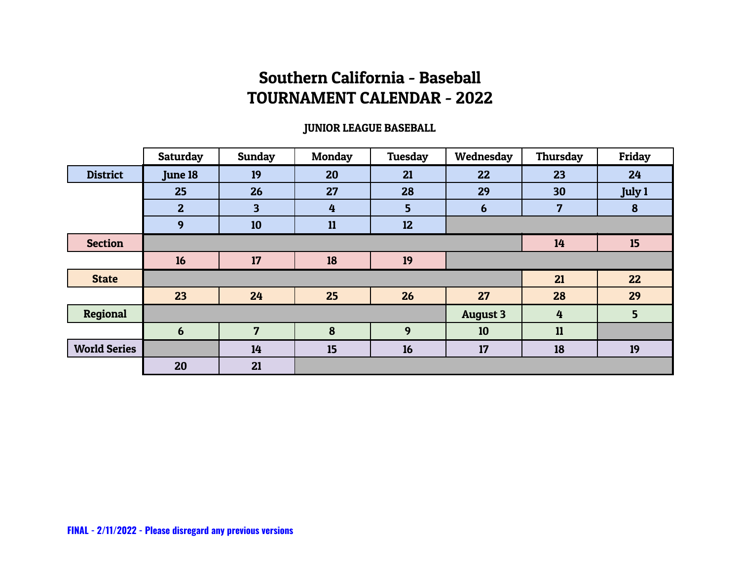### JUNIOR LEAGUE BASEBALL

|                     | Saturday       | <b>Sunday</b>           | <b>Monday</b> | <b>Tuesday</b> | Wednesday       | Thursday | Friday |
|---------------------|----------------|-------------------------|---------------|----------------|-----------------|----------|--------|
| <b>District</b>     | <b>June 18</b> | 19                      | 20            | 21             | 22              | 23       | 24     |
|                     | 25             | 26                      | 27            | 28             | 29              | 30       | July 1 |
|                     | $\mathbf{2}$   | $\overline{\mathbf{3}}$ | 4             | 5 <sub>5</sub> | $6\phantom{1}6$ | 7        | 8      |
|                     | 9              | 10                      | 11            | 12             |                 |          |        |
| <b>Section</b>      |                |                         |               |                |                 | 14       | 15     |
|                     | 16             | 17                      | 18            | 19             |                 |          |        |
| <b>State</b>        |                |                         |               |                |                 | 21       | 22     |
|                     | 23             | 24                      | 25            | 26             | 27              | 28       | 29     |
| <b>Regional</b>     |                |                         |               |                | <b>August 3</b> | 4        | 5      |
|                     | 6              | 7                       | 8             | 9              | 10              | 11       |        |
| <b>World Series</b> |                | 14                      | 15            | 16             | 17              | 18       | 19     |
|                     | 20             | 21                      |               |                |                 |          |        |